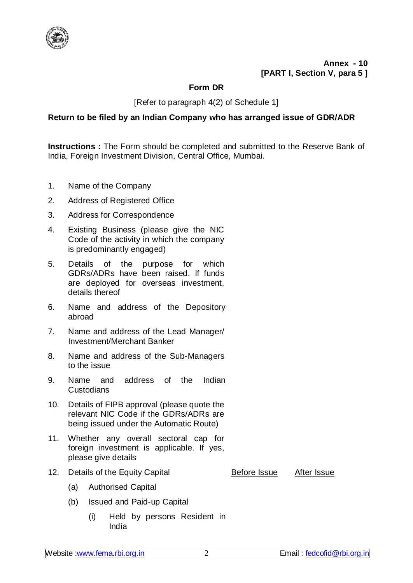

**Annex - 10 [PART I, Section V, para 5 ]**

## **Form DR**

## [Refer to paragraph 4(2) of Schedule 1]

## **Return to be filed by an Indian Company who has arranged issue of GDR/ADR**

**Instructions :** The Form should be completed and submitted to the Reserve Bank of India, Foreign Investment Division, Central Office, Mumbai.

- 1. Name of the Company
- 2. Address of Registered Office
- 3. Address for Correspondence
- 4. Existing Business (please give the NIC Code of the activity in which the company is predominantly engaged)
- 5. Details of the purpose for which GDRs/ADRs have been raised. If funds are deployed for overseas investment, details thereof
- 6. Name and address of the Depository abroad
- 7. Name and address of the Lead Manager/ Investment/Merchant Banker
- 8. Name and address of the Sub-Managers to the issue
- 9. Name and address of the Indian Custodians
- 10. Details of FIPB approval (please quote the relevant NIC Code if the GDRs/ADRs are being issued under the Automatic Route)
- 11. Whether any overall sectoral cap for foreign investment is applicable. If yes, please give details
- 12. Details of the Equity Capital **Before Issue** After Issue

- (a) Authorised Capital
- (b) Issued and Paid-up Capital
	- (i) Held by persons Resident in India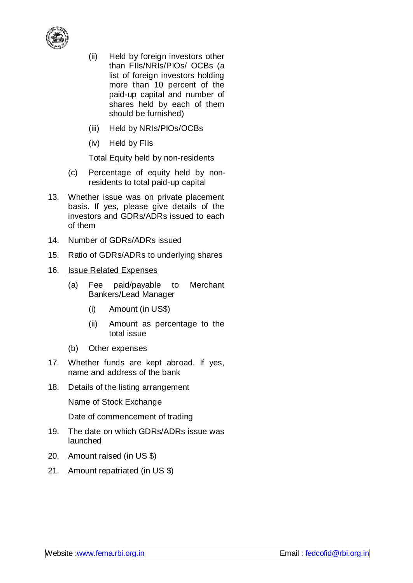

- (ii) Held by foreign investors other than FIIs/NRIs/PIOs/ OCBs (a list of foreign investors holding more than 10 percent of the paid-up capital and number of shares held by each of them should be furnished)
- (iii) Held by NRIs/PIOs/OCBs
- (iv) Held by FIIs

Total Equity held by non-residents

- (c) Percentage of equity held by nonresidents to total paid-up capital
- 13. Whether issue was on private placement basis. If yes, please give details of the investors and GDRs/ADRs issued to each of them
- 14. Number of GDRs/ADRs issued
- 15. Ratio of GDRs/ADRs to underlying shares
- 16. Issue Related Expenses
	- (a) Fee paid/payable to Merchant Bankers/Lead Manager
		- (i) Amount (in US\$)
		- (ii) Amount as percentage to the total issue
	- (b) Other expenses
- 17. Whether funds are kept abroad. If yes, name and address of the bank
- 18. Details of the listing arrangement

Name of Stock Exchange

Date of commencement of trading

- 19. The date on which GDRs/ADRs issue was launched
- 20. Amount raised (in US \$)
- 21. Amount repatriated (in US \$)